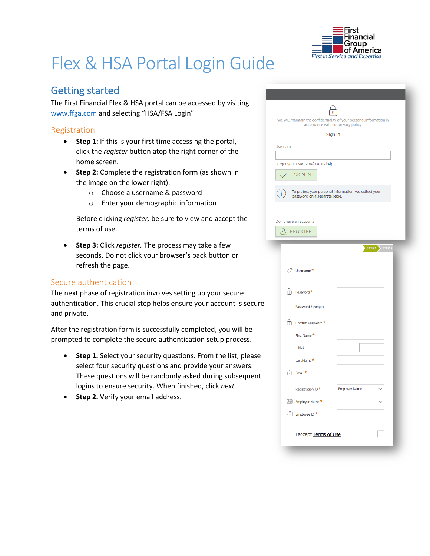

# Flex & HSA Portal Login Guide

## Getting started

The First Financial Flex & HSA portal can be accessed by visiting www.ffga.com and selecting "HSA/FSA Login"

#### Registration

- **Step 1:** If this is your first time accessing the portal, click the *register* button atop the right corner of the home screen.
- **Step 2:** Complete the registration form (as shown in the image on the lower right).
	- o Choose a username & password
	- o Enter your demographic information

Before clicking *register,* be sure to view and accept the terms of use.

• **Step 3:** Click *register.* The process may take a few seconds. Do not click your browser's back button or refresh the page.

### Secure authentication

The next phase of registration involves setting up your secure authentication. This crucial step helps ensure your account is secure and private.

After the registration form is successfully completed, you will be prompted to complete the secure authentication setup process.

- **Step 1.** Select your security questions. From the list, please select four security questions and provide your answers. These questions will be randomly asked during subsequent logins to ensure security. When finished, click *next.*
- **Step 2.** Verify your email address.

| We will maintain the confidentiality of your personal information in<br>accordance with our privacy policy. |                |
|-------------------------------------------------------------------------------------------------------------|----------------|
| Sign in                                                                                                     |                |
| Username                                                                                                    |                |
|                                                                                                             |                |
| Forgot your Username? Let us help<br><b>SIGN IN</b>                                                         |                |
|                                                                                                             |                |
| To protect your personal information, we collect your<br>password on a separate page.                       |                |
|                                                                                                             |                |
|                                                                                                             |                |
| Don't have an account?                                                                                      |                |
| $\mathcal{O}_{\mathbb{A}}$ register                                                                         |                |
|                                                                                                             | STEP1 > STEP 2 |
|                                                                                                             |                |
| $\oslash$ Username *                                                                                        |                |
|                                                                                                             |                |
| 尙<br>Password *                                                                                             |                |
| Password Strength                                                                                           |                |
|                                                                                                             |                |
| 6<br>Confirm Password *                                                                                     |                |
| First Name*                                                                                                 |                |
| Initial                                                                                                     |                |
| Last Name*                                                                                                  |                |
| $\hat{\bowtie}$ Email *                                                                                     |                |
|                                                                                                             |                |
| Registration ID <sup>*</sup><br><b>Employer Name</b>                                                        |                |
| <b>Employer Name *</b>                                                                                      |                |
| <b>E</b> Employee ID *                                                                                      |                |
|                                                                                                             |                |